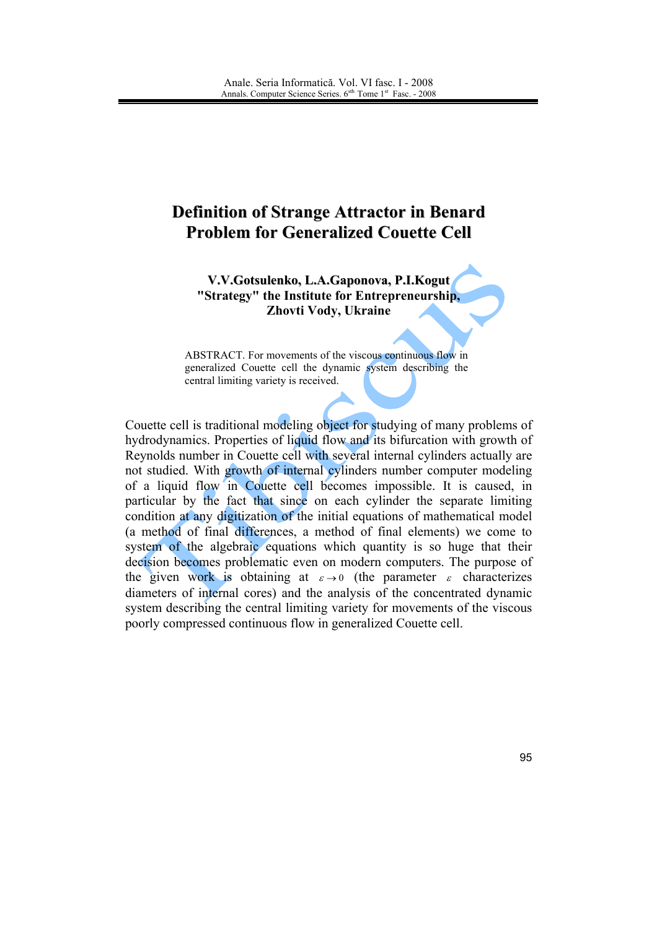## **Definition of Strange Attractor in Benard Problem for Generalized Couette Cell**

V.V.Gotsulenko, L.A.Gaponova, P.I.Kogut "Strategy" the Institute for Entrepreneurship, Zhovti Vody, Ukraine

ABSTRACT. For movements of the viscous continuous flow in generalized Couette cell the dynamic system describing the central limiting variety is received.

Couette cell is traditional modeling object for studying of many problems of hydrodynamics. Properties of liquid flow and its bifurcation with growth of Reynolds number in Couette cell with several internal cylinders actually are not studied. With growth of internal cylinders number computer modeling of a liquid flow in Couette cell becomes impossible. It is caused, in particular by the fact that since on each cylinder the separate limiting condition at any digitization of the initial equations of mathematical model (a method of final differences, a method of final elements) we come to system of the algebraic equations which quantity is so huge that their decision becomes problematic even on modern computers. The purpose of the given work is obtaining at  $\varepsilon \to 0$  (the parameter  $\varepsilon$  characterizes diameters of internal cores) and the analysis of the concentrated dynamic system describing the central limiting variety for movements of the viscous poorly compressed continuous flow in generalized Couette cell.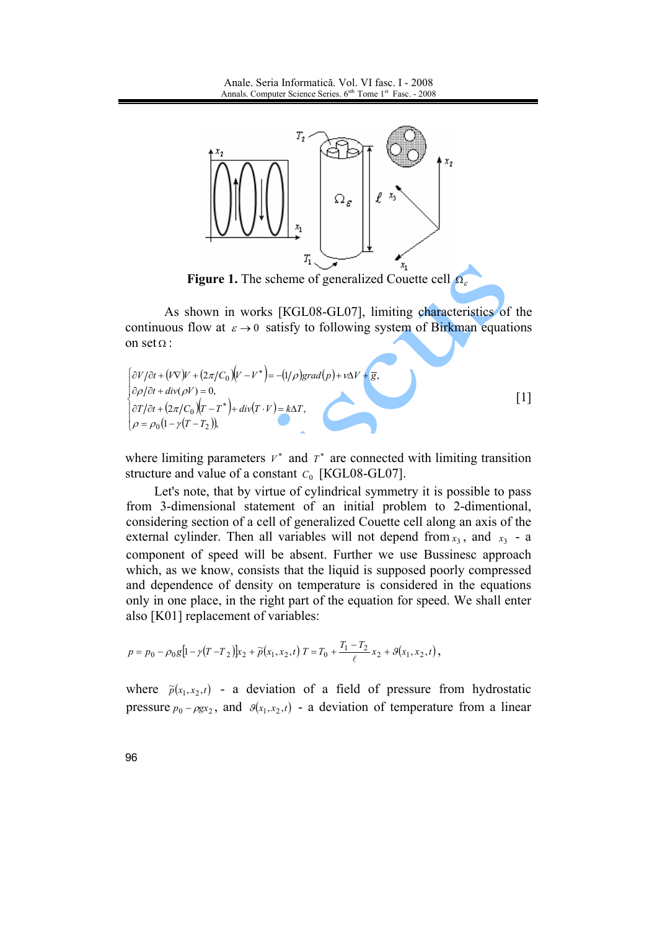

**Figure 1.** The scheme of generalized Couette cell  $\Omega$ 

As shown in works [KGL08-GL07], limiting characteristics of the continuous flow at  $\varepsilon \to 0$  satisfy to following system of Birkman equations on  $set$  $\Omega$ :

$$
\begin{cases}\n\frac{\partial V}{\partial t} + (V\nabla)V + (2\pi/C_0)(V - V^*) = -(1/\rho)grad(p) + v\Delta V + \overline{g}, \\
\frac{\partial \rho}{\partial t} + div(\rho V) = 0, \\
\frac{\partial T}{\partial t} + (2\pi/C_0)(T - T^*) + div(T \cdot V) = k\Delta T, \\
\rho = \rho_0(1 - \gamma(T - T_2)),\n\end{cases}
$$
\n[1]

where limiting parameters  $V^*$  and  $T^*$  are connected with limiting transition structure and value of a constant  $C_0$  [KGL08-GL07].

Let's note, that by virtue of cylindrical symmetry it is possible to pass from 3-dimensional statement of an initial problem to 2-dimentional, considering section of a cell of generalized Couette cell along an axis of the external cylinder. Then all variables will not depend from  $x_3$ , and  $x_3$  - a component of speed will be absent. Further we use Bussinesc approach which, as we know, consists that the liquid is supposed poorly compressed and dependence of density on temperature is considered in the equations only in one place, in the right part of the equation for speed. We shall enter also [K01] replacement of variables:

$$
p = p_0 - \rho_0 g \left[ 1 - \gamma (T - T_2) \right] x_2 + \widetilde{p}(x_1, x_2, t) T = T_0 + \frac{T_1 - T_2}{\ell} x_2 + \mathcal{G}(x_1, x_2, t),
$$

where  $\tilde{p}(x_1, x_2, t)$  - a deviation of a field of pressure from hydrostatic pressure  $p_0 - \rho g x_2$ , and  $g(x_1, x_2, t)$  - a deviation of temperature from a linear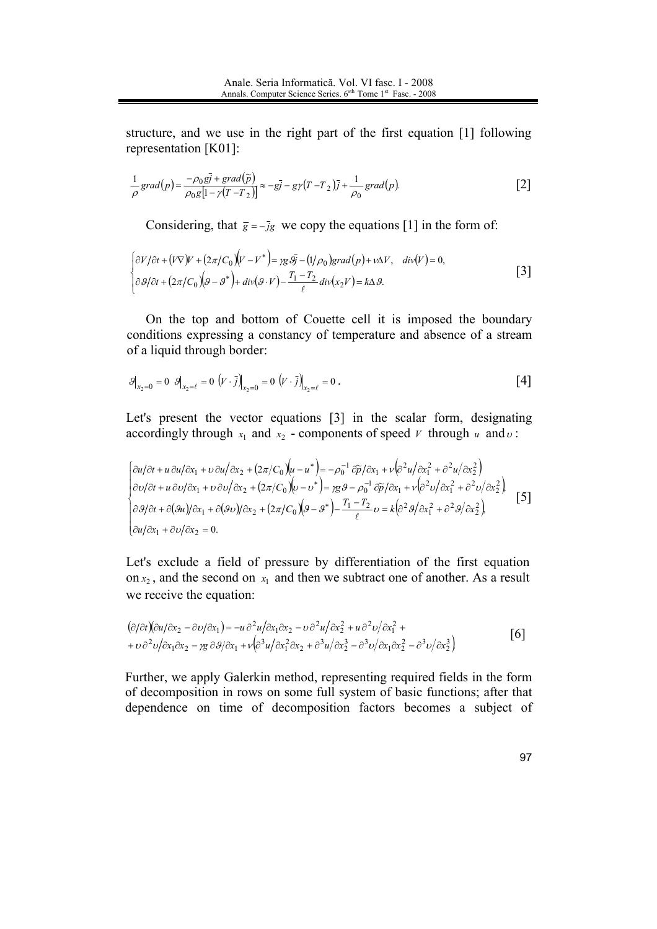structure, and we use in the right part of the first equation [1] following representation  $[K01]$ :

$$
\frac{1}{\rho}grad(p) = \frac{-\rho_0 g\bar{j} + grad(\tilde{p})}{\rho_0 g[1 - \gamma(T - T_2)]} \approx -g\bar{j} - g\gamma(T - T_2)\bar{j} + \frac{1}{\rho_0} grad(p).
$$
 [2]

Considering, that  $\bar{g} = -\bar{j}g$  we copy the equations [1] in the form of:

$$
\begin{cases} \frac{\partial V}{\partial t} + (V\nabla)V + (2\pi/C_0)(V - V^*) = \frac{\partial S}{\partial t} - (1/\rho_0)grad(p) + v\Delta V, & div(V) = 0, \\ \frac{\partial S}{\partial t} + (2\pi/C_0)(S - S^*) + div(S \cdot V) - \frac{T_1 - T_2}{\ell}div(x_2 V) = k\Delta S. \end{cases}
$$
 [3]

On the top and bottom of Couette cell it is imposed the boundary conditions expressing a constancy of temperature and absence of a stream of a liquid through border:

$$
\mathcal{G}\big|_{x_2=0} = 0 \quad \mathcal{G}\big|_{x_2=\ell} = 0 \quad \left(\mathbf{V} \cdot \bar{\mathbf{j}}\right)_{x_2=0} = 0 \quad \left(\mathbf{V} \cdot \bar{\mathbf{j}}\right)_{x_2=\ell} = 0 \quad . \tag{4}
$$

Let's present the vector equations [3] in the scalar form, designating accordingly through  $x_1$  and  $x_2$  - components of speed  $V$  through  $u$  and  $v$ :

$$
\begin{cases}\n\frac{\partial u}{\partial t} + u \frac{\partial u}{\partial x_1} + v \frac{\partial u}{\partial x_2} + (2\pi/C_0)(u - u^*) = -\rho_0^{-1} \frac{\partial \widetilde{p}}{\partial x_1} + v \left(\frac{\partial^2 u}{\partial x_1^2} + \frac{\partial^2 u}{\partial x_2^2}\right) \\
\frac{\partial v}{\partial t} + u \frac{\partial v}{\partial x_1} + v \frac{\partial v}{\partial x_2} + (2\pi/C_0)(v - v^*) = \gamma g \cdot g - \rho_0^{-1} \frac{\partial \widetilde{p}}{\partial x_1} + v \left(\frac{\partial^2 v}{\partial x_1^2} + \frac{\partial^2 v}{\partial x_2^2}\right) \\
\frac{\partial s}{\partial t} + \frac{\partial (su)}{\partial x_1} + \frac{\partial (sv)}{\partial x_2} + (2\pi/C_0)(g - g^*) - \frac{T_1 - T_2}{\ell} v = k \left(\frac{\partial^2 s}{\partial x_1^2} + \frac{\partial^2 s}{\partial x_2^2}\right)\n\end{cases}
$$
[5]

Let's exclude a field of pressure by differentiation of the first equation on  $x_2$ , and the second on  $x_1$  and then we subtract one of another. As a result we receive the equation:

$$
(\partial/\partial t)(\partial u/\partial x_2 - \partial v/\partial x_1) = -u \partial^2 u/\partial x_1 \partial x_2 - v \partial^2 u/\partial x_2^2 + u \partial^2 v/\partial x_1^2 ++ v \partial^2 v/\partial x_1 \partial x_2 - y g \partial \theta/\partial x_1 + v(\partial^3 u/\partial x_1^2 \partial x_2 + \partial^3 u/\partial x_2^3 - \partial^3 v/\partial x_1 \partial x_2^2 - \partial^3 v/\partial x_2^3)
$$
 [6]

Further, we apply Galerkin method, representing required fields in the form of decomposition in rows on some full system of basic functions; after that dependence on time of decomposition factors becomes a subject of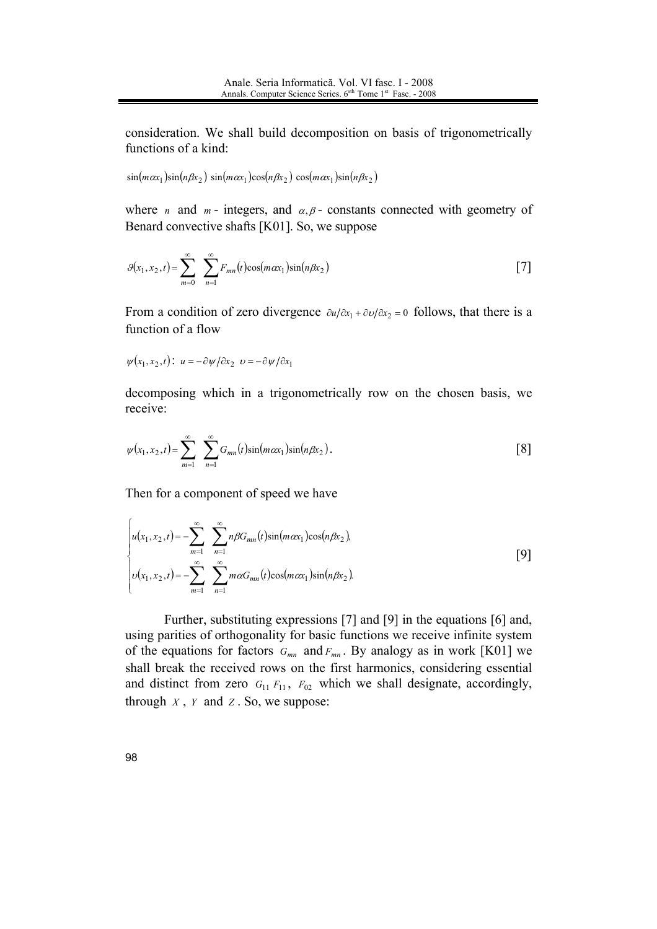consideration. We shall build decomposition on basis of trigonometrically functions of a kind:

 $\sin(m\alpha x_1)\sin(n\beta x_2)$   $\sin(m\alpha x_1)\cos(n\beta x_2)$   $\cos(m\alpha x_1)\sin(n\beta x_2)$ 

where *n* and *m* - integers, and  $\alpha, \beta$  - constants connected with geometry of Benard convective shafts [K01]. So, we suppose

$$
\mathcal{G}(x_1, x_2, t) = \sum_{m=0}^{\infty} \sum_{n=1}^{\infty} F_{mn}(t) \cos(m\alpha x_1) \sin(n\beta x_2)
$$
 [7]

From a condition of zero divergence  $\partial u/\partial x_1 + \partial v/\partial x_2 = 0$  follows, that there is a function of a flow

$$
\psi(x_1, x_2, t):
$$
  $u = -\frac{\partial \psi}{\partial x_2} \upsilon = -\frac{\partial \psi}{\partial x_1}$ 

decomposing which in a trigonometrically row on the chosen basis, we receive:

$$
\psi(x_1, x_2, t) = \sum_{m=1}^{\infty} \sum_{n=1}^{\infty} G_{mn}(t) \sin(m\alpha x_1) \sin(n\beta x_2).
$$
 [8]

Then for a component of speed we have

$$
\begin{cases}\nu(x_1, x_2, t) = -\sum_{m=1}^{\infty} \sum_{n=1}^{\infty} n\beta G_{mn}(t) \sin(m\alpha x_1) \cos(n\beta x_2), \\
v(x_1, x_2, t) = -\sum_{m=1}^{\infty} \sum_{n=1}^{\infty} m\alpha G_{mn}(t) \cos(m\alpha x_1) \sin(n\beta x_2).\n\end{cases} [9]
$$

Further, substituting expressions [7] and [9] in the equations [6] and, using parities of orthogonality for basic functions we receive infinite system of the equations for factors  $G_{mn}$  and  $F_{mn}$ . By analogy as in work [K01] we shall break the received rows on the first harmonics, considering essential and distinct from zero  $G_{11} F_{11}$ ,  $F_{02}$  which we shall designate, accordingly, through  $X$ ,  $Y$  and  $Z$ . So, we suppose: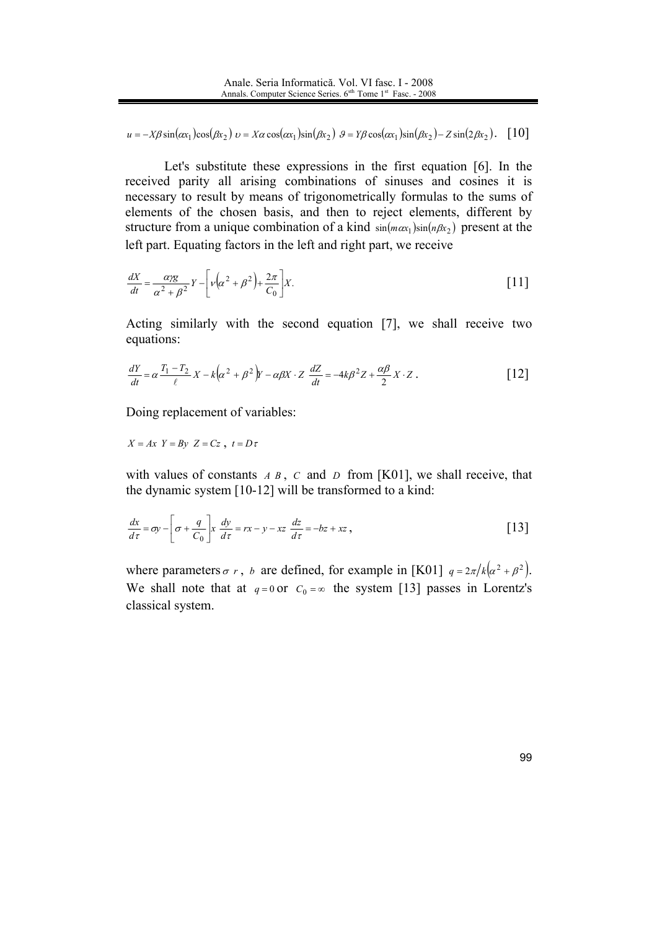$u = -X\beta \sin(\alpha x_1) \cos(\beta x_2)$   $v = X\alpha \cos(\alpha x_1) \sin(\beta x_2)$   $\theta = Y\beta \cos(\alpha x_1) \sin(\beta x_2) - Z\sin(2\beta x_2)$ . [10]

Let's substitute these expressions in the first equation [6]. In the received parity all arising combinations of sinuses and cosines it is necessary to result by means of trigonometrically formulas to the sums of elements of the chosen basis, and then to reject elements, different by structure from a unique combination of a kind  $sin(m\alpha_1)sin(n\beta x_2)$  present at the left part. Equating factors in the left and right part, we receive

$$
\frac{dX}{dt} = \frac{\alpha \gamma g}{\alpha^2 + \beta^2} Y - \left[ \nu \left( \alpha^2 + \beta^2 \right) + \frac{2\pi}{C_0} \right] X. \tag{11}
$$

Acting similarly with the second equation [7], we shall receive two equations:

$$
\frac{dY}{dt} = \alpha \frac{T_1 - T_2}{\ell} X - k \left( \alpha^2 + \beta^2 \right) Y - \alpha \beta X \cdot Z \frac{dZ}{dt} = -4k\beta^2 Z + \frac{\alpha \beta}{2} X \cdot Z \,. \tag{12}
$$

Doing replacement of variables:

$$
X = Ax \ Y = By \ Z = Cz \ , \ t = D\tau
$$

with values of constants  $A \, B$ ,  $C$  and  $D$  from [K01], we shall receive, that the dynamic system [10-12] will be transformed to a kind:

$$
\frac{dx}{d\tau} = \sigma y - \left[\sigma + \frac{q}{C_0}\right] x \frac{dy}{d\tau} = rx - y - xz \frac{dz}{d\tau} = -bz + xz,
$$
 [13]

where parameters  $\sigma r$ , b are defined, for example in [K01]  $q = 2\pi/k(\alpha^2 + \beta^2)$ . We shall note that at  $q=0$  or  $C_0 = \infty$  the system [13] passes in Lorentz's classical system.